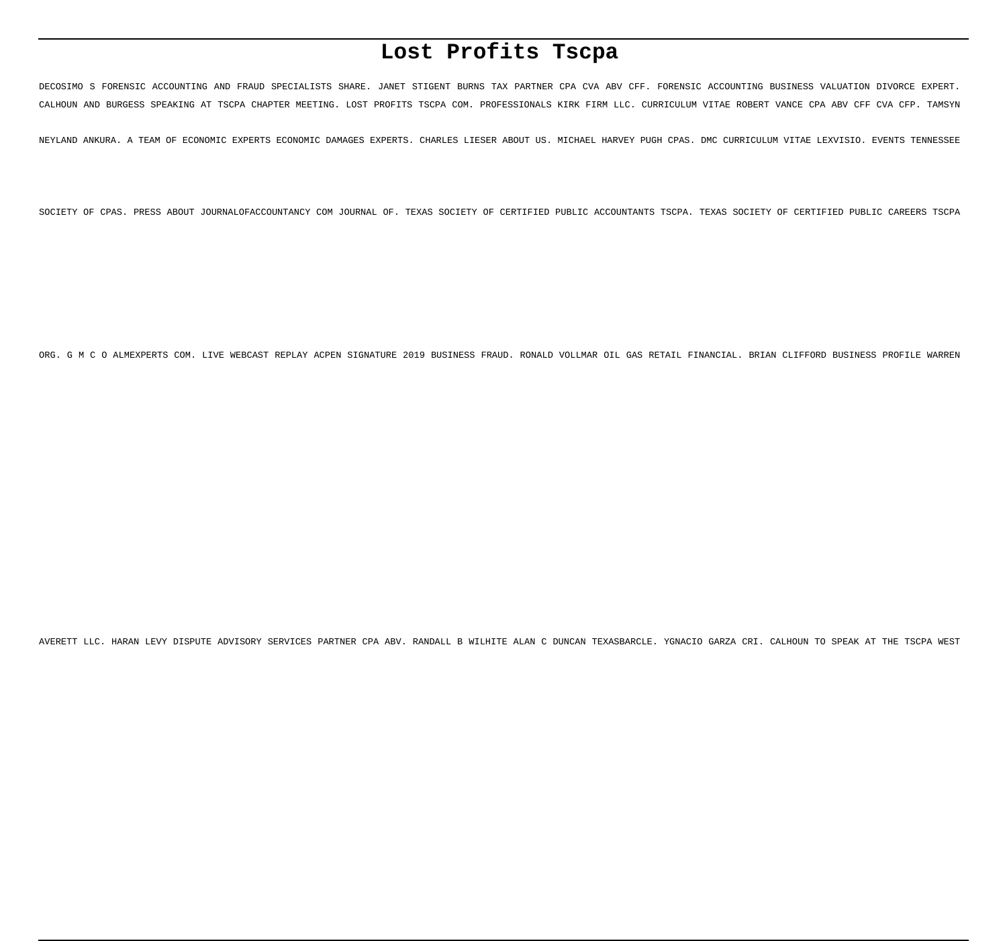# **Lost Profits Tscpa**

DECOSIMO S FORENSIC ACCOUNTING AND FRAUD SPECIALISTS SHARE. JANET STIGENT BURNS TAX PARTNER CPA CVA ABV CFF. FORENSIC ACCOUNTING BUSINESS VALUATION DIVORCE EXPERT. CALHOUN AND BURGESS SPEAKING AT TSCPA CHAPTER MEETING. LOST PROFITS TSCPA COM. PROFESSIONALS KIRK FIRM LLC. CURRICULUM VITAE ROBERT VANCE CPA ABV CFF CVA CFP. TAMSYN

NEYLAND ANKURA. A TEAM OF ECONOMIC EXPERTS ECONOMIC DAMAGES EXPERTS. CHARLES LIESER ABOUT US. MICHAEL HARVEY PUGH CPAS. DMC CURRICULUM VITAE LEXVISIO. EVENTS TENNESSEE

SOCIETY OF CPAS. PRESS ABOUT JOURNALOFACCOUNTANCY COM JOURNAL OF. TEXAS SOCIETY OF CERTIFIED PUBLIC ACCOUNTANTS TSCPA. TEXAS SOCIETY OF CERTIFIED PUBLIC CAREERS TSCPA

ORG. G M C O ALMEXPERTS COM. LIVE WEBCAST REPLAY ACPEN SIGNATURE 2019 BUSINESS FRAUD. RONALD VOLLMAR OIL GAS RETAIL FINANCIAL. BRIAN CLIFFORD BUSINESS PROFILE WARREN

AVERETT LLC. HARAN LEVY DISPUTE ADVISORY SERVICES PARTNER CPA ABV. RANDALL B WILHITE ALAN C DUNCAN TEXASBARCLE. YGNACIO GARZA CRI. CALHOUN TO SPEAK AT THE TSCPA WEST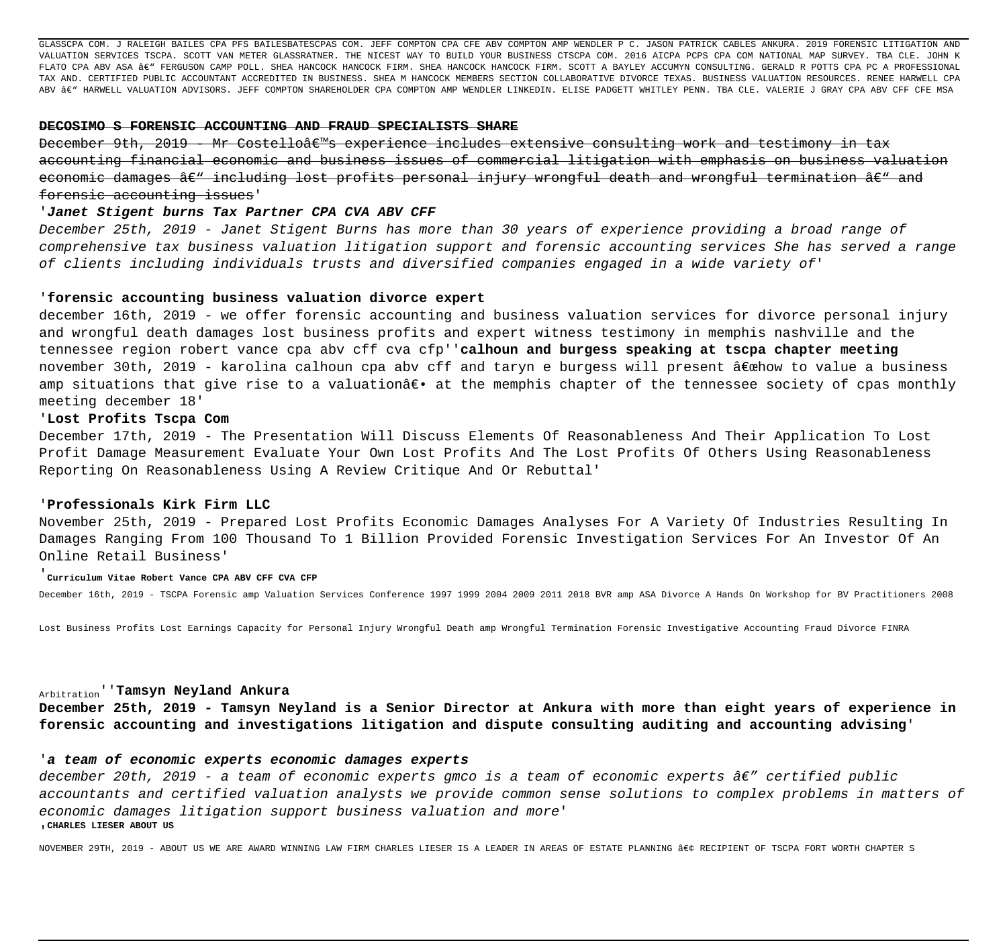GLASSCPA COM. J RALEIGH BAILES CPA PFS BAILESBATESCPAS COM. JEFF COMPTON CPA CFE ABV COMPTON AMP WENDLER P C. JASON PATRICK CABLES ANKURA. 2019 FORENSIC LITIGATION AND VALUATION SERVICES TSCPA. SCOTT VAN METER GLASSRATNER. THE NICEST WAY TO BUILD YOUR BUSINESS CTSCPA COM. 2016 AICPA PCPS CPA COM NATIONAL MAP SURVEY. TBA CLE. JOHN K FLATO CPA ABV ASA €" FERGUSON CAMP POLL. SHEA HANCOCK HANCOCK FIRM. SHEA HANCOCK FIRM. SCOTT A BAYLEY ACCUMYN CONSULTING. GERALD R POTTS CPA PC A PROFESSIONAL TAX AND. CERTIFIED PUBLIC ACCOUNTANT ACCREDITED IN BUSINESS. SHEA M HANCOCK MEMBERS SECTION COLLABORATIVE DIVORCE TEXAS. BUSINESS VALUATION RESOURCES. RENEE HARWELL CPA ABV – HARWELL VALUATION ADVISORS. JEFF COMPTON SHAREHOLDER CPA COMPTON AMP WENDLER LINKEDIN. ELISE PADGETT WHITLEY PENN. TBA CLE. VALERIE J GRAY CPA ABV CFF CFE MSA

# **DECOSIMO S FORENSIC ACCOUNTING AND FRAUD SPECIALISTS SHARE**

December 9th, 2019 - Mr Costello's experience includes extensive consulting work and testimony in tax accounting financial economic and business issues of commercial litigation with emphasis on business valuation economic damages â $\epsilon$ " including lost profits personal injury wrongful death and wrongful termination â $\epsilon$ " and forensic accounting issues'

#### '**Janet Stigent burns Tax Partner CPA CVA ABV CFF**

December 25th, 2019 - Janet Stigent Burns has more than 30 years of experience providing a broad range of comprehensive tax business valuation litigation support and forensic accounting services She has served a range of clients including individuals trusts and diversified companies engaged in a wide variety of'

#### '**forensic accounting business valuation divorce expert**

december 16th, 2019 - we offer forensic accounting and business valuation services for divorce personal injury and wrongful death damages lost business profits and expert witness testimony in memphis nashville and the tennessee region robert vance cpa abv cff cva cfp''**calhoun and burgess speaking at tscpa chapter meeting** november 30th, 2019 - karolina calhoun cpa abv cff and taryn e burgess will present "how to value a business amp situations that give rise to a valuation― at the memphis chapter of the tennessee society of cpas monthly meeting december 18'

# '**Lost Profits Tscpa Com**

December 17th, 2019 - The Presentation Will Discuss Elements Of Reasonableness And Their Application To Lost Profit Damage Measurement Evaluate Your Own Lost Profits And The Lost Profits Of Others Using Reasonableness Reporting On Reasonableness Using A Review Critique And Or Rebuttal'

#### '**Professionals Kirk Firm LLC**

November 25th, 2019 - Prepared Lost Profits Economic Damages Analyses For A Variety Of Industries Resulting In Damages Ranging From 100 Thousand To 1 Billion Provided Forensic Investigation Services For An Investor Of An Online Retail Business'

#### '**Curriculum Vitae Robert Vance CPA ABV CFF CVA CFP**

December 16th, 2019 - TSCPA Forensic amp Valuation Services Conference 1997 1999 2004 2009 2011 2018 BVR amp ASA Divorce A Hands On Workshop for BV Practitioners 2008

Lost Business Profits Lost Earnings Capacity for Personal Injury Wrongful Death amp Wrongful Termination Forensic Investigative Accounting Fraud Divorce FINRA

# Arbitration''**Tamsyn Neyland Ankura**

**December 25th, 2019 - Tamsyn Neyland is a Senior Director at Ankura with more than eight years of experience in forensic accounting and investigations litigation and dispute consulting auditing and accounting advising**'

# '**a team of economic experts economic damages experts**

december 20th, 2019 - a team of economic experts gmco is a team of economic experts  $\hat{a}\epsilon^x$  certified public accountants and certified valuation analysts we provide common sense solutions to complex problems in matters of economic damages litigation support business valuation and more' '**CHARLES LIESER ABOUT US**

NOVEMBER 29TH, 2019 - ABOUT US WE ARE AWARD WINNING LAW FIRM CHARLES LIESER IS A LEADER IN AREAS OF ESTATE PLANNING 860 RECIPIENT OF TSCPA FORT WORTH CHAPTER S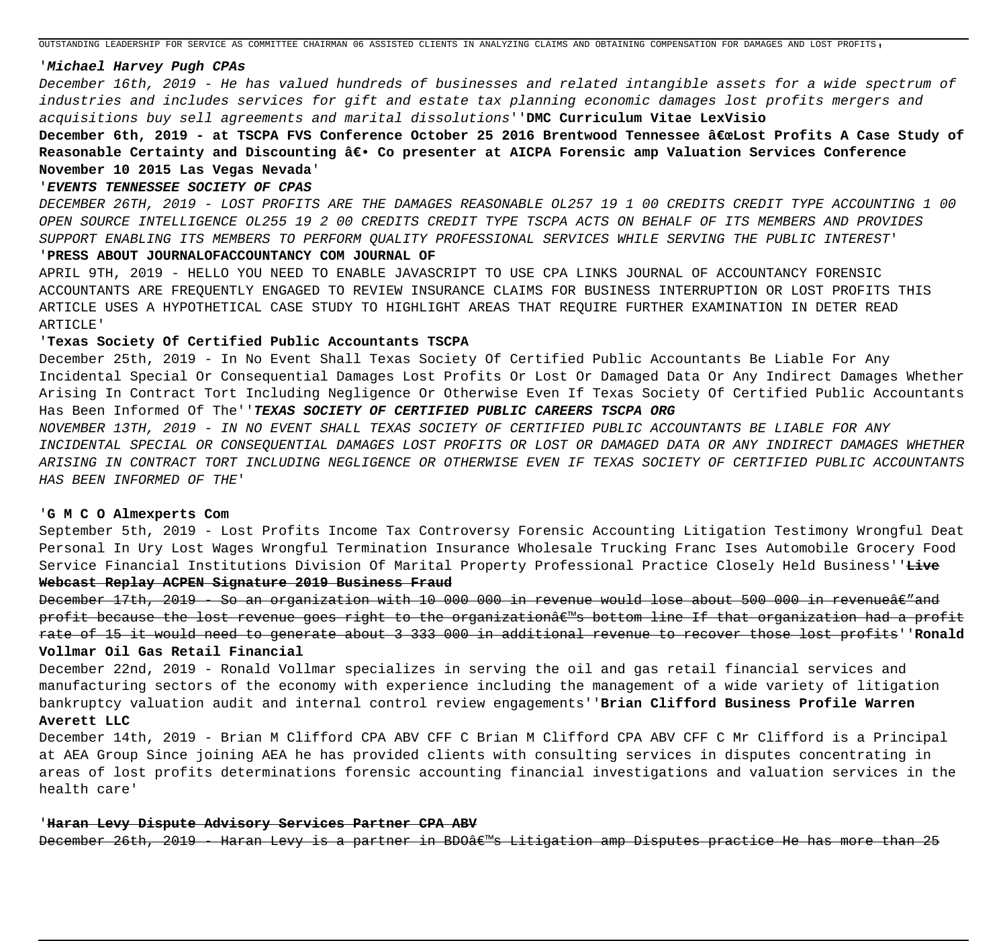OUTSTANDING LEADERSHIP FOR SERVICE AS COMMITTEE CHAIRMAN 06 ASSISTED CLIENTS IN ANALYZING CLAIMS AND OBTAINING COMPENSATION FOR DAMAGES AND LOST PROFITS'

# '**Michael Harvey Pugh CPAs**

December 16th, 2019 - He has valued hundreds of businesses and related intangible assets for a wide spectrum of industries and includes services for gift and estate tax planning economic damages lost profits mergers and acquisitions buy sell agreements and marital dissolutions''**DMC Curriculum Vitae LexVisio**

December 6th, 2019 - at TSCPA FVS Conference October 25 2016 Brentwood Tennessee "Lost Profits A Case Study of Reasonable Certainty and Discounting â€. Co presenter at AICPA Forensic amp Valuation Services Conference **November 10 2015 Las Vegas Nevada**'

#### '**EVENTS TENNESSEE SOCIETY OF CPAS**

DECEMBER 26TH, 2019 - LOST PROFITS ARE THE DAMAGES REASONABLE OL257 19 1 00 CREDITS CREDIT TYPE ACCOUNTING 1 00 OPEN SOURCE INTELLIGENCE OL255 19 2 00 CREDITS CREDIT TYPE TSCPA ACTS ON BEHALF OF ITS MEMBERS AND PROVIDES SUPPORT ENABLING ITS MEMBERS TO PERFORM QUALITY PROFESSIONAL SERVICES WHILE SERVING THE PUBLIC INTEREST'

# '**PRESS ABOUT JOURNALOFACCOUNTANCY COM JOURNAL OF**

APRIL 9TH, 2019 - HELLO YOU NEED TO ENABLE JAVASCRIPT TO USE CPA LINKS JOURNAL OF ACCOUNTANCY FORENSIC ACCOUNTANTS ARE FREQUENTLY ENGAGED TO REVIEW INSURANCE CLAIMS FOR BUSINESS INTERRUPTION OR LOST PROFITS THIS ARTICLE USES A HYPOTHETICAL CASE STUDY TO HIGHLIGHT AREAS THAT REQUIRE FURTHER EXAMINATION IN DETER READ ARTICLE'

#### '**Texas Society Of Certified Public Accountants TSCPA**

December 25th, 2019 - In No Event Shall Texas Society Of Certified Public Accountants Be Liable For Any Incidental Special Or Consequential Damages Lost Profits Or Lost Or Damaged Data Or Any Indirect Damages Whether Arising In Contract Tort Including Negligence Or Otherwise Even If Texas Society Of Certified Public Accountants Has Been Informed Of The''**TEXAS SOCIETY OF CERTIFIED PUBLIC CAREERS TSCPA ORG**

NOVEMBER 13TH, 2019 - IN NO EVENT SHALL TEXAS SOCIETY OF CERTIFIED PUBLIC ACCOUNTANTS BE LIABLE FOR ANY INCIDENTAL SPECIAL OR CONSEQUENTIAL DAMAGES LOST PROFITS OR LOST OR DAMAGED DATA OR ANY INDIRECT DAMAGES WHETHER ARISING IN CONTRACT TORT INCLUDING NEGLIGENCE OR OTHERWISE EVEN IF TEXAS SOCIETY OF CERTIFIED PUBLIC ACCOUNTANTS HAS BEEN INFORMED OF THE'

#### '**G M C O Almexperts Com**

September 5th, 2019 - Lost Profits Income Tax Controversy Forensic Accounting Litigation Testimony Wrongful Deat Personal In Ury Lost Wages Wrongful Termination Insurance Wholesale Trucking Franc Ises Automobile Grocery Food Service Financial Institutions Division Of Marital Property Professional Practice Closely Held Business''**Live**

# **Webcast Replay ACPEN Signature 2019 Business Fraud**

December 17th, 2019 - So an organization with 10 000 000 in revenue would lose about 500 000 in revenueâe and profit because the lost revenue goes right to the organization's bottom line If that organization had a profit rate of 15 it would need to generate about 3 333 000 in additional revenue to recover those lost profits''**Ronald Vollmar Oil Gas Retail Financial**

December 22nd, 2019 - Ronald Vollmar specializes in serving the oil and gas retail financial services and manufacturing sectors of the economy with experience including the management of a wide variety of litigation bankruptcy valuation audit and internal control review engagements''**Brian Clifford Business Profile Warren Averett LLC**

December 14th, 2019 - Brian M Clifford CPA ABV CFF C Brian M Clifford CPA ABV CFF C Mr Clifford is a Principal at AEA Group Since joining AEA he has provided clients with consulting services in disputes concentrating in areas of lost profits determinations forensic accounting financial investigations and valuation services in the health care'

# '**Haran Levy Dispute Advisory Services Partner CPA ABV**

December 26th, 2019 - Haran Levy is a partner in BDO's Litigation amp Disputes practice He has more than 25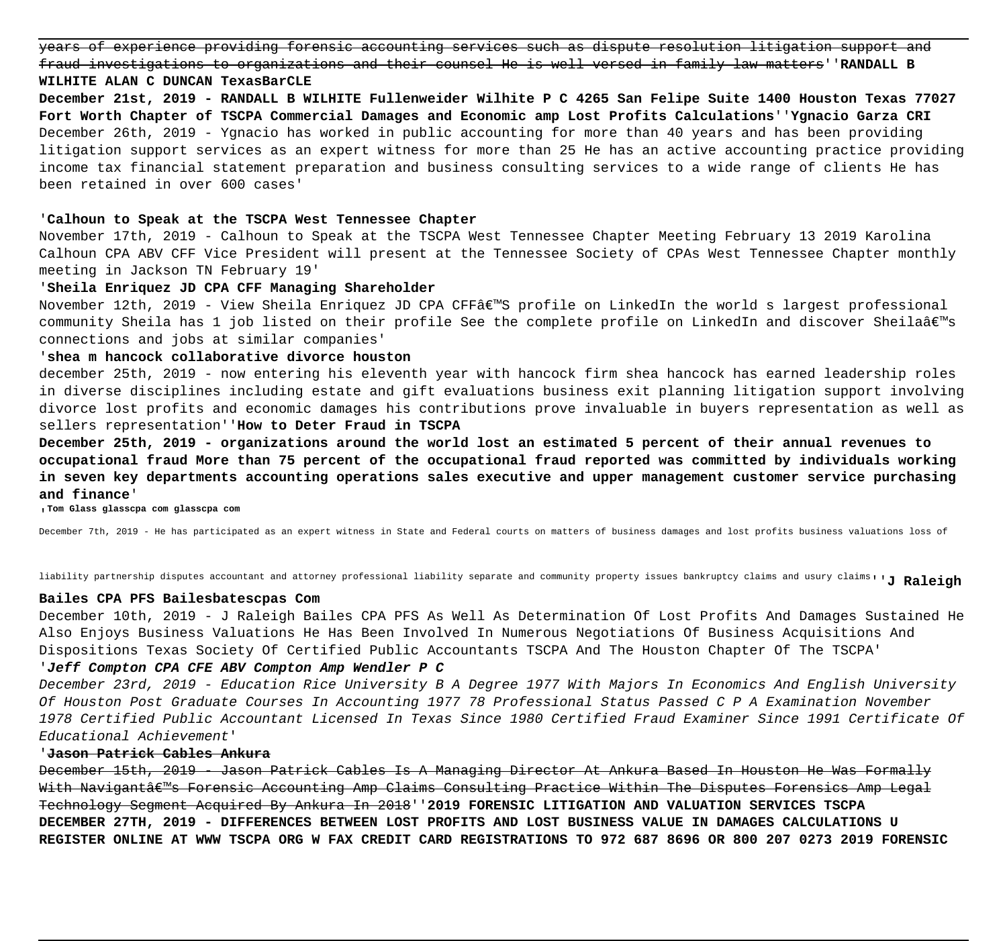years of experience providing forensic accounting services such as dispute resolution litigation support and fraud investigations to organizations and their counsel He is well versed in family law matters''**RANDALL B WILHITE ALAN C DUNCAN TexasBarCLE**

**December 21st, 2019 - RANDALL B WILHITE Fullenweider Wilhite P C 4265 San Felipe Suite 1400 Houston Texas 77027 Fort Worth Chapter of TSCPA Commercial Damages and Economic amp Lost Profits Calculations**''**Ygnacio Garza CRI** December 26th, 2019 - Ygnacio has worked in public accounting for more than 40 years and has been providing litigation support services as an expert witness for more than 25 He has an active accounting practice providing income tax financial statement preparation and business consulting services to a wide range of clients He has been retained in over 600 cases'

#### '**Calhoun to Speak at the TSCPA West Tennessee Chapter**

November 17th, 2019 - Calhoun to Speak at the TSCPA West Tennessee Chapter Meeting February 13 2019 Karolina Calhoun CPA ABV CFF Vice President will present at the Tennessee Society of CPAs West Tennessee Chapter monthly meeting in Jackson TN February 19'

# '**Sheila Enriquez JD CPA CFF Managing Shareholder**

November 12th, 2019 - View Sheila Enriquez JD CPA CFFâ EMS profile on LinkedIn the world s largest professional community Sheila has 1 job listed on their profile See the complete profile on LinkedIn and discover Sheila's connections and jobs at similar companies'

# '**shea m hancock collaborative divorce houston**

december 25th, 2019 - now entering his eleventh year with hancock firm shea hancock has earned leadership roles in diverse disciplines including estate and gift evaluations business exit planning litigation support involving divorce lost profits and economic damages his contributions prove invaluable in buyers representation as well as sellers representation''**How to Deter Fraud in TSCPA**

**December 25th, 2019 - organizations around the world lost an estimated 5 percent of their annual revenues to occupational fraud More than 75 percent of the occupational fraud reported was committed by individuals working in seven key departments accounting operations sales executive and upper management customer service purchasing and finance**'

'**Tom Glass glasscpa com glasscpa com**

December 7th, 2019 - He has participated as an expert witness in State and Federal courts on matters of business damages and lost profits business valuations loss of

liability partnership disputes accountant and attorney professional liability separate and community property issues bankruptcy claims and usury claims''**J Raleigh**

### **Bailes CPA PFS Bailesbatescpas Com**

December 10th, 2019 - J Raleigh Bailes CPA PFS As Well As Determination Of Lost Profits And Damages Sustained He Also Enjoys Business Valuations He Has Been Involved In Numerous Negotiations Of Business Acquisitions And Dispositions Texas Society Of Certified Public Accountants TSCPA And The Houston Chapter Of The TSCPA'

# '**Jeff Compton CPA CFE ABV Compton Amp Wendler P C**

December 23rd, 2019 - Education Rice University B A Degree 1977 With Majors In Economics And English University Of Houston Post Graduate Courses In Accounting 1977 78 Professional Status Passed C P A Examination November 1978 Certified Public Accountant Licensed In Texas Since 1980 Certified Fraud Examiner Since 1991 Certificate Of Educational Achievement'

# '**Jason Patrick Cables Ankura**

December 15th, 2019 - Jason Patrick Cables Is A Managing Director At Ankura Based In Houston He Was Formally With Navigantâ $\varepsilon^m$ s Forensic Accounting Amp Claims Consulting Practice Within The Disputes Forensics Amp Legal Technology Segment Acquired By Ankura In 2018''**2019 FORENSIC LITIGATION AND VALUATION SERVICES TSCPA DECEMBER 27TH, 2019 - DIFFERENCES BETWEEN LOST PROFITS AND LOST BUSINESS VALUE IN DAMAGES CALCULATIONS U REGISTER ONLINE AT WWW TSCPA ORG W FAX CREDIT CARD REGISTRATIONS TO 972 687 8696 OR 800 207 0273 2019 FORENSIC**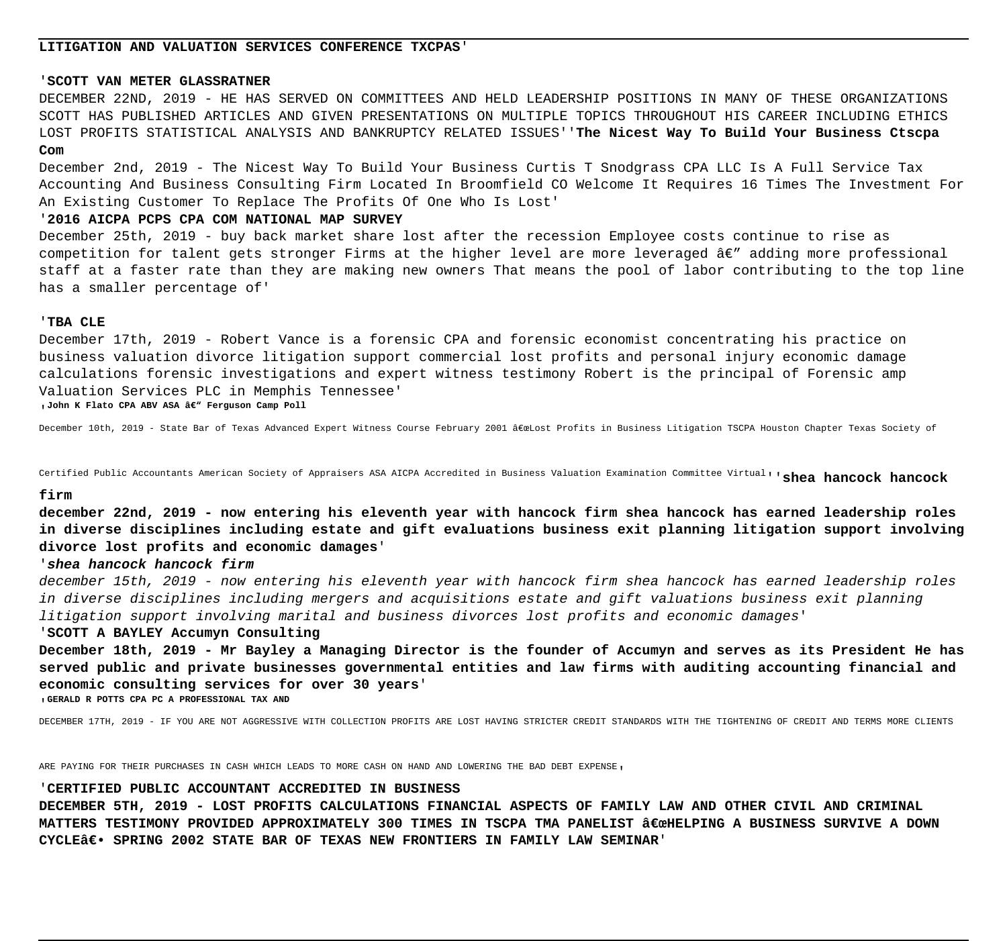# **LITIGATION AND VALUATION SERVICES CONFERENCE TXCPAS**'

#### '**SCOTT VAN METER GLASSRATNER**

DECEMBER 22ND, 2019 - HE HAS SERVED ON COMMITTEES AND HELD LEADERSHIP POSITIONS IN MANY OF THESE ORGANIZATIONS SCOTT HAS PUBLISHED ARTICLES AND GIVEN PRESENTATIONS ON MULTIPLE TOPICS THROUGHOUT HIS CAREER INCLUDING ETHICS LOST PROFITS STATISTICAL ANALYSIS AND BANKRUPTCY RELATED ISSUES''**The Nicest Way To Build Your Business Ctscpa**

# **Com**

December 2nd, 2019 - The Nicest Way To Build Your Business Curtis T Snodgrass CPA LLC Is A Full Service Tax Accounting And Business Consulting Firm Located In Broomfield CO Welcome It Requires 16 Times The Investment For An Existing Customer To Replace The Profits Of One Who Is Lost'

#### '**2016 AICPA PCPS CPA COM NATIONAL MAP SURVEY**

December 25th, 2019 - buy back market share lost after the recession Employee costs continue to rise as competition for talent gets stronger Firms at the higher level are more leveraged  $A\epsilon$ " adding more professional staff at a faster rate than they are making new owners That means the pool of labor contributing to the top line has a smaller percentage of'

#### '**TBA CLE**

December 17th, 2019 - Robert Vance is a forensic CPA and forensic economist concentrating his practice on business valuation divorce litigation support commercial lost profits and personal injury economic damage calculations forensic investigations and expert witness testimony Robert is the principal of Forensic amp Valuation Services PLC in Memphis Tennessee'

<sub>'</sub> John K Flato CPA ABV ASA â€" Ferguson Camp Poll

December 10th, 2019 - State Bar of Texas Advanced Expert Witness Course February 2001 "Lost Profits in Business Litigation TSCPA Houston Chapter Texas Society of

Certified Public Accountants American Society of Appraisers ASA AICPA Accredited in Business Valuation Examination Committee Virtual''**shea hancock hancock**

#### **firm**

**december 22nd, 2019 - now entering his eleventh year with hancock firm shea hancock has earned leadership roles in diverse disciplines including estate and gift evaluations business exit planning litigation support involving divorce lost profits and economic damages**'

# '**shea hancock hancock firm**

december 15th, 2019 - now entering his eleventh year with hancock firm shea hancock has earned leadership roles in diverse disciplines including mergers and acquisitions estate and gift valuations business exit planning litigation support involving marital and business divorces lost profits and economic damages'

#### '**SCOTT A BAYLEY Accumyn Consulting**

**December 18th, 2019 - Mr Bayley a Managing Director is the founder of Accumyn and serves as its President He has served public and private businesses governmental entities and law firms with auditing accounting financial and economic consulting services for over 30 years**'

'**GERALD R POTTS CPA PC A PROFESSIONAL TAX AND**

DECEMBER 17TH, 2019 - IF YOU ARE NOT AGGRESSIVE WITH COLLECTION PROFITS ARE LOST HAVING STRICTER CREDIT STANDARDS WITH THE TIGHTENING OF CREDIT AND TERMS MORE CLIENTS

ARE PAYING FOR THEIR PURCHASES IN CASH WHICH LEADS TO MORE CASH ON HAND AND LOWERING THE BAD DEBT EXPENSE.

#### '**CERTIFIED PUBLIC ACCOUNTANT ACCREDITED IN BUSINESS**

**DECEMBER 5TH, 2019 - LOST PROFITS CALCULATIONS FINANCIAL ASPECTS OF FAMILY LAW AND OTHER CIVIL AND CRIMINAL** MATTERS TESTIMONY PROVIDED APPROXIMATELY 300 TIMES IN TSCPA TMA PANELIST "HELPING A BUSINESS SURVIVE A DOWN CYCLE€. SPRING 2002 STATE BAR OF TEXAS NEW FRONTIERS IN FAMILY LAW SEMINAR'